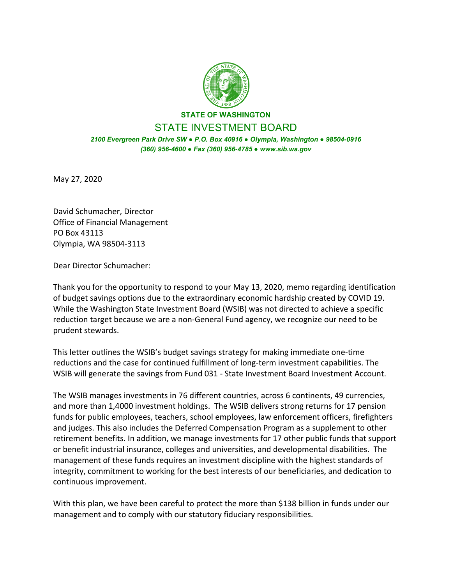

# **STATE OF WASHINGTON**  STATE INVESTMENT BOARD

*2100 Evergreen Park Drive SW ● P.O. Box 40916 ● Olympia, Washington ● 98504-0916 (360) 956-4600 ● Fax (360) 956-4785 ● www.sib.wa.gov*

May 27, 2020

David Schumacher, Director Office of Financial Management PO Box 43113 Olympia, WA 98504‐3113

Dear Director Schumacher:

Thank you for the opportunity to respond to your May 13, 2020, memo regarding identification of budget savings options due to the extraordinary economic hardship created by COVID 19. While the Washington State Investment Board (WSIB) was not directed to achieve a specific reduction target because we are a non‐General Fund agency, we recognize our need to be prudent stewards.

This letter outlines the WSIB's budget savings strategy for making immediate one‐time reductions and the case for continued fulfillment of long‐term investment capabilities. The WSIB will generate the savings from Fund 031 ‐ State Investment Board Investment Account.

The WSIB manages investments in 76 different countries, across 6 continents, 49 currencies, and more than 1,4000 investment holdings. The WSIB delivers strong returns for 17 pension funds for public employees, teachers, school employees, law enforcement officers, firefighters and judges. This also includes the Deferred Compensation Program as a supplement to other retirement benefits. In addition, we manage investments for 17 other public funds that support or benefit industrial insurance, colleges and universities, and developmental disabilities. The management of these funds requires an investment discipline with the highest standards of integrity, commitment to working for the best interests of our beneficiaries, and dedication to continuous improvement.

With this plan, we have been careful to protect the more than \$138 billion in funds under our management and to comply with our statutory fiduciary responsibilities.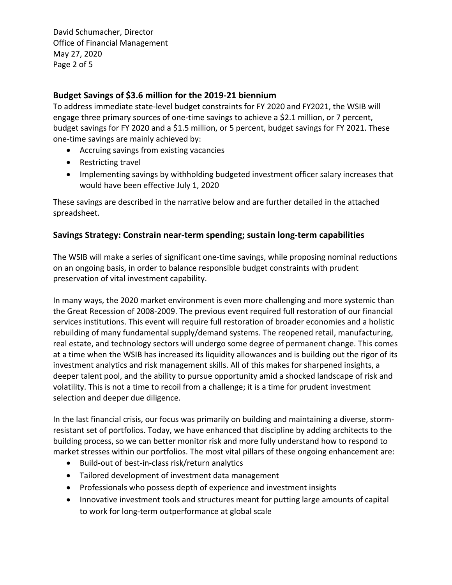David Schumacher, Director Office of Financial Management May 27, 2020 Page 2 of 5

## **Budget Savings of \$3.6 million for the 2019‐21 biennium**

To address immediate state‐level budget constraints for FY 2020 and FY2021, the WSIB will engage three primary sources of one-time savings to achieve a \$2.1 million, or 7 percent, budget savings for FY 2020 and a \$1.5 million, or 5 percent, budget savings for FY 2021. These one‐time savings are mainly achieved by:

- Accruing savings from existing vacancies
- Restricting travel
- Implementing savings by withholding budgeted investment officer salary increases that would have been effective July 1, 2020

These savings are described in the narrative below and are further detailed in the attached spreadsheet.

## **Savings Strategy: Constrain near‐term spending; sustain long‐term capabilities**

The WSIB will make a series of significant one‐time savings, while proposing nominal reductions on an ongoing basis, in order to balance responsible budget constraints with prudent preservation of vital investment capability.

In many ways, the 2020 market environment is even more challenging and more systemic than the Great Recession of 2008‐2009. The previous event required full restoration of our financial services institutions. This event will require full restoration of broader economies and a holistic rebuilding of many fundamental supply/demand systems. The reopened retail, manufacturing, real estate, and technology sectors will undergo some degree of permanent change. This comes at a time when the WSIB has increased its liquidity allowances and is building out the rigor of its investment analytics and risk management skills. All of this makes for sharpened insights, a deeper talent pool, and the ability to pursue opportunity amid a shocked landscape of risk and volatility. This is not a time to recoil from a challenge; it is a time for prudent investment selection and deeper due diligence.

In the last financial crisis, our focus was primarily on building and maintaining a diverse, storm‐ resistant set of portfolios. Today, we have enhanced that discipline by adding architects to the building process, so we can better monitor risk and more fully understand how to respond to market stresses within our portfolios. The most vital pillars of these ongoing enhancement are:

- Build-out of best-in-class risk/return analytics
- Tailored development of investment data management
- Professionals who possess depth of experience and investment insights
- Innovative investment tools and structures meant for putting large amounts of capital to work for long‐term outperformance at global scale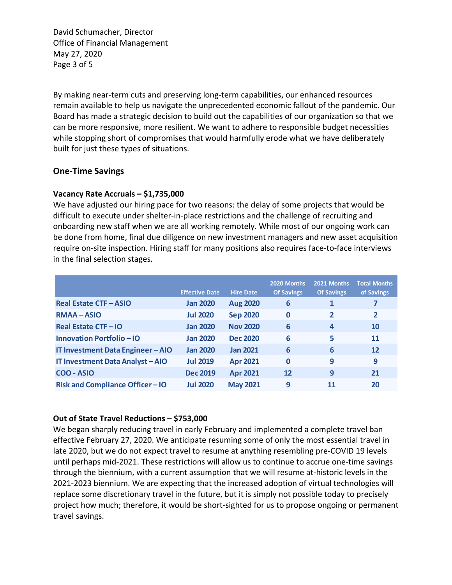David Schumacher, Director Office of Financial Management May 27, 2020 Page 3 of 5

By making near‐term cuts and preserving long‐term capabilities, our enhanced resources remain available to help us navigate the unprecedented economic fallout of the pandemic. Our Board has made a strategic decision to build out the capabilities of our organization so that we can be more responsive, more resilient. We want to adhere to responsible budget necessities while stopping short of compromises that would harmfully erode what we have deliberately built for just these types of situations.

## **One‐Time Savings**

### **Vacancy Rate Accruals – \$1,735,000**

We have adjusted our hiring pace for two reasons: the delay of some projects that would be difficult to execute under shelter‐in‐place restrictions and the challenge of recruiting and onboarding new staff when we are all working remotely. While most of our ongoing work can be done from home, final due diligence on new investment managers and new asset acquisition require on-site inspection. Hiring staff for many positions also requires face-to-face interviews in the final selection stages.

|                                         | <b>Effective Date</b> | <b>Hire Date</b> | 2020 Months<br><b>Of Savings</b> | 2021 Months<br><b>Of Savings</b> | <b>Total Months</b><br>of Savings |
|-----------------------------------------|-----------------------|------------------|----------------------------------|----------------------------------|-----------------------------------|
| <b>Real Estate CTF-ASIO</b>             | <b>Jan 2020</b>       | <b>Aug 2020</b>  | 6                                | 1                                | 7                                 |
| <b>RMAA-ASIO</b>                        | <b>Jul 2020</b>       | <b>Sep 2020</b>  | $\bf{0}$                         | 2                                | $\overline{2}$                    |
| <b>Real Estate CTF-IO</b>               | <b>Jan 2020</b>       | <b>Nov 2020</b>  | 6                                | 4                                | <b>10</b>                         |
| Innovation Portfolio - IO               | <b>Jan 2020</b>       | <b>Dec 2020</b>  | 6                                | 5                                | <b>11</b>                         |
| IT Investment Data Engineer - AIO       | <b>Jan 2020</b>       | <b>Jan 2021</b>  | 6                                | 6                                | 12                                |
| <b>IT Investment Data Analyst - AIO</b> | <b>Jul 2019</b>       | <b>Apr 2021</b>  | $\bf{0}$                         | 9                                | 9                                 |
| COO - ASIO                              | <b>Dec 2019</b>       | <b>Apr 2021</b>  | 12                               | 9                                | 21                                |
| <b>Risk and Compliance Officer-IO</b>   | <b>Jul 2020</b>       | <b>May 2021</b>  | 9                                | 11                               | 20                                |

#### **Out of State Travel Reductions – \$753,000**

We began sharply reducing travel in early February and implemented a complete travel ban effective February 27, 2020. We anticipate resuming some of only the most essential travel in late 2020, but we do not expect travel to resume at anything resembling pre-COVID 19 levels until perhaps mid‐2021. These restrictions will allow us to continue to accrue one‐time savings through the biennium, with a current assumption that we will resume at‐historic levels in the 2021-2023 biennium. We are expecting that the increased adoption of virtual technologies will replace some discretionary travel in the future, but it is simply not possible today to precisely project how much; therefore, it would be short-sighted for us to propose ongoing or permanent travel savings.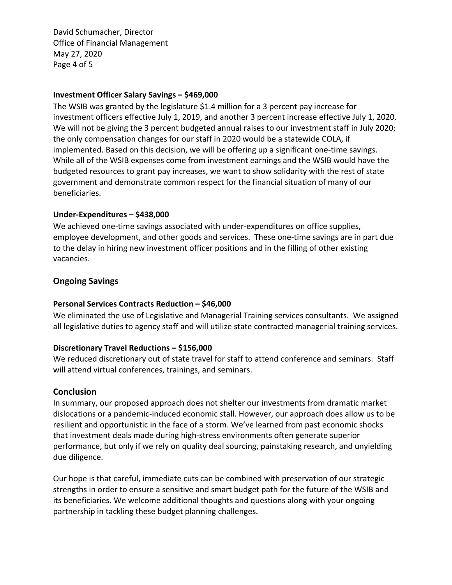David Schumacher, Director Office of Financial Management May 27, 2020 Page 4 of 5

#### **Investment Officer Salary Savings – \$469,000**

The WSIB was granted by the legislature \$1.4 million for a 3 percent pay increase for investment officers effective July 1, 2019, and another 3 percent increase effective July 1, 2020. We will not be giving the 3 percent budgeted annual raises to our investment staff in July 2020; the only compensation changes for our staff in 2020 would be a statewide COLA, if implemented. Based on this decision, we will be offering up a significant one-time savings. While all of the WSIB expenses come from investment earnings and the WSIB would have the budgeted resources to grant pay increases, we want to show solidarity with the rest of state government and demonstrate common respect for the financial situation of many of our beneficiaries.

### **Under‐Expenditures – \$438,000**

We achieved one-time savings associated with under-expenditures on office supplies, employee development, and other goods and services. These one-time savings are in part due to the delay in hiring new investment officer positions and in the filling of other existing vacancies.

### **Ongoing Savings**

#### **Personal Services Contracts Reduction – \$46,000**

We eliminated the use of Legislative and Managerial Training services consultants. We assigned all legislative duties to agency staff and will utilize state contracted managerial training services.

#### **Discretionary Travel Reductions – \$156,000**

We reduced discretionary out of state travel for staff to attend conference and seminars. Staff will attend virtual conferences, trainings, and seminars.

#### **Conclusion**

In summary, our proposed approach does not shelter our investments from dramatic market dislocations or a pandemic‐induced economic stall. However, our approach does allow us to be resilient and opportunistic in the face of a storm. We've learned from past economic shocks that investment deals made during high‐stress environments often generate superior performance, but only if we rely on quality deal sourcing, painstaking research, and unyielding due diligence.

Our hope is that careful, immediate cuts can be combined with preservation of our strategic strengths in order to ensure a sensitive and smart budget path for the future of the WSIB and its beneficiaries. We welcome additional thoughts and questions along with your ongoing partnership in tackling these budget planning challenges.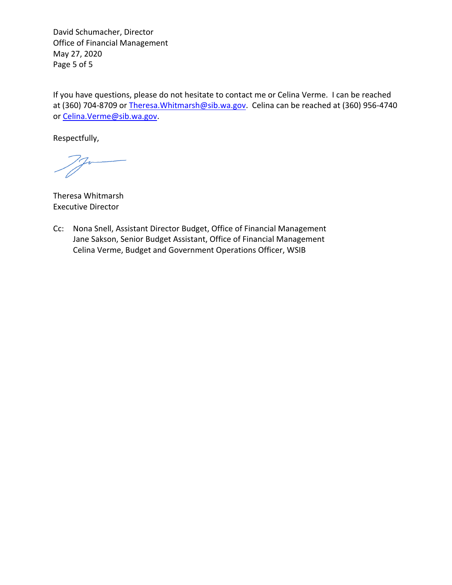David Schumacher, Director Office of Financial Management May 27, 2020 Page 5 of 5

If you have questions, please do not hesitate to contact me or Celina Verme. I can be reached at (360) 704-8709 or Theresa. Whitmarsh@sib.wa.gov. Celina can be reached at (360) 956-4740 or Celina.Verme@sib.wa.gov.

Respectfully,

Theresa Whitmarsh Executive Director

Cc: Nona Snell, Assistant Director Budget, Office of Financial Management Jane Sakson, Senior Budget Assistant, Office of Financial Management Celina Verme, Budget and Government Operations Officer, WSIB